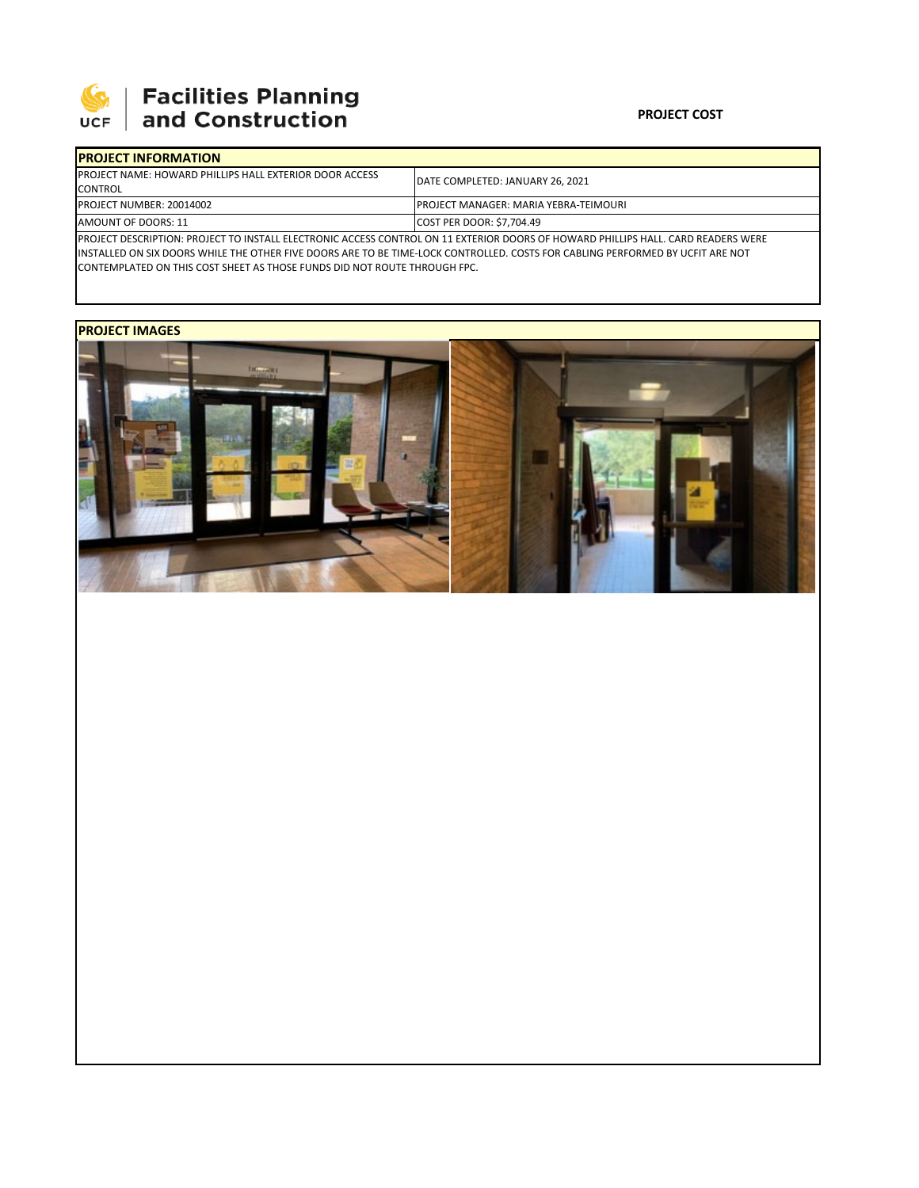

# **SEPTE SECUTE SECULIES Planning**<br>UCF and Construction

### **PROJECT COST**

| <b>IPROJECT INFORMATION</b>                                                                                                       |                                               |  |  |  |
|-----------------------------------------------------------------------------------------------------------------------------------|-----------------------------------------------|--|--|--|
| <b>IPROJECT NAME: HOWARD PHILLIPS HALL EXTERIOR DOOR ACCESS</b>                                                                   | <b>IDATE COMPLETED: JANUARY 26, 2021</b>      |  |  |  |
| <b>CONTROL</b>                                                                                                                    |                                               |  |  |  |
| PROJECT NUMBER: 20014002                                                                                                          | <b>IPROJECT MANAGER: MARIA YEBRA-TEIMOURI</b> |  |  |  |
| <b>AMOUNT OF DOORS: 11</b>                                                                                                        | <b>COST PER DOOR: \$7.704.49</b>              |  |  |  |
| PROJECT DESCRIPTION: PROJECT TO INSTALL ELECTRONIC ACCESS CONTROL ON 11 EXTERIOR DOORS OF HOWARD PHILLIPS HALL. CARD READERS WERE |                                               |  |  |  |

INSTALLED ON SIX DOORS WHILE THE OTHER FIVE DOORS ARE TO BE TIME‐LOCK CONTROLLED. COSTS FOR CABLING PERFORMED BY UCFIT ARE NOT CONTEMPLATED ON THIS COST SHEET AS THOSE FUNDS DID NOT ROUTE THROUGH FPC.

## **PROJECT IMAGES**